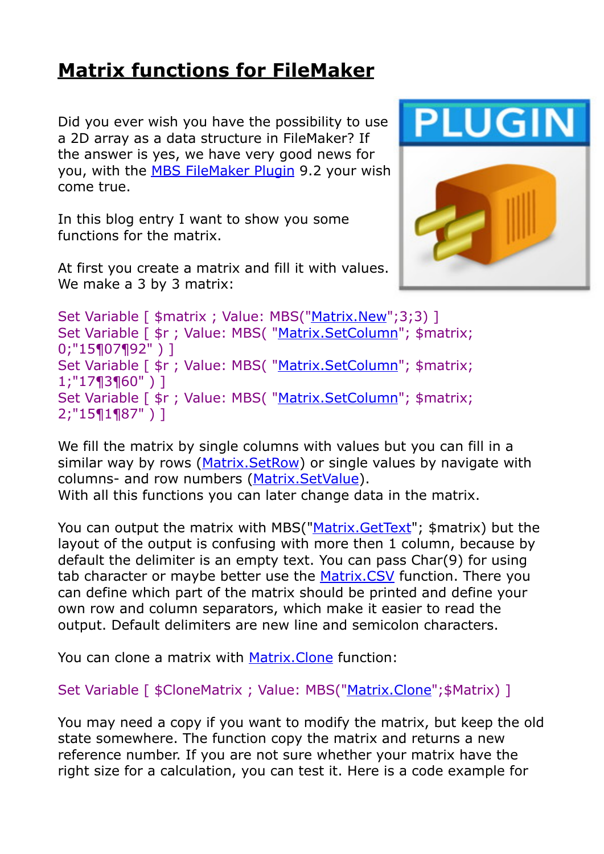## **[Matrix functions for FileMaker](https://www.mbs-plugins.com/archive/2019-05-28/Matrix_functions_for_FileMaker/monkeybreadsoftware_blog_filemaker)**

Did you ever wish you have the possibility to use a 2D array as a data structure in FileMaker? If the answer is yes, we have very good news for you, with the [MBS FileMaker Plugin](http://monkeybreadsoftware.com/filemaker/) 9.2 your wish come true.

In this blog entry I want to show you some functions for the matrix.

At first you create a matrix and fill it with values. We make a 3 by 3 matrix:



Set Variable [ \$matrix ; Value: MBS("[Matrix.New](http://www.mbsplugins.eu/MatrixNew.shtml)";3;3) ] Set Variable [ \$r ; Value: MBS( ["Matrix.SetColumn](http://www.mbsplugins.eu/MatrixSetColumn.shtml)"; \$matrix; 0;"15¶07¶92" ) ] Set Variable [ \$r ; Value: MBS( ["Matrix.SetColumn](http://www.mbsplugins.eu/MatrixSetColumn.shtml)"; \$matrix; 1;"17¶3¶60" ) ] Set Variable [ \$r ; Value: MBS( "Matrix. Set Column"; \$matrix; 2;"15¶1¶87" ) ]

We fill the matrix by single columns with values but you can fill in a similar way by rows [\(Matrix.SetRow](http://www.mbsplugins.eu/MatrixSetRow.shtml)) or single values by navigate with columns- and row numbers [\(Matrix.SetValue\)](http://www.mbsplugins.eu/MatrixSetValue.shtml). With all this functions you can later change data in the matrix.

You can output the matrix with MBS(["Matrix.GetText](http://www.mbsplugins.eu/MatrixGetText.shtml)"; \$matrix) but the layout of the output is confusing with more then 1 column, because by default the delimiter is an empty text. You can pass Char(9) for using tab character or maybe better use the [Matrix.CSV](http://www.mbsplugins.eu/MatrixCSV.shtml) function. There you can define which part of the matrix should be printed and define your own row and column separators, which make it easier to read the output. Default delimiters are new line and semicolon characters.

You can clone a matrix with Matrix. Clone function:

Set Variable [ \$CloneMatrix ; Value: MBS(["Matrix.Clone](http://www.mbsplugins.eu/MatrixClone.shtml)"; \$Matrix) ]

You may need a copy if you want to modify the matrix, but keep the old state somewhere. The function copy the matrix and returns a new reference number. If you are not sure whether your matrix have the right size for a calculation, you can test it. Here is a code example for